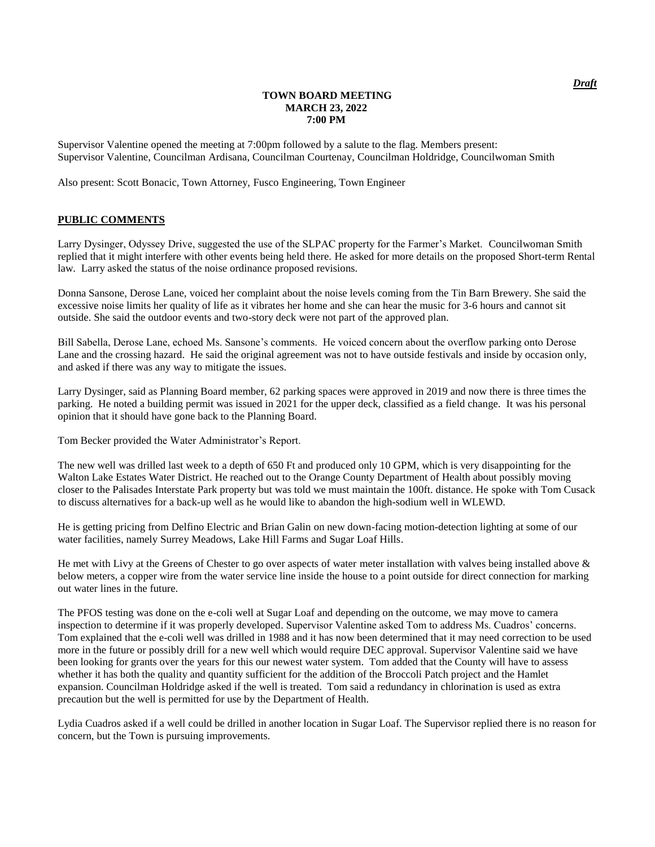#### **TOWN BOARD MEETING MARCH 23, 2022 7:00 PM**

Supervisor Valentine opened the meeting at 7:00pm followed by a salute to the flag. Members present: Supervisor Valentine, Councilman Ardisana, Councilman Courtenay, Councilman Holdridge, Councilwoman Smith

Also present: Scott Bonacic, Town Attorney, Fusco Engineering, Town Engineer

### **PUBLIC COMMENTS**

Larry Dysinger, Odyssey Drive, suggested the use of the SLPAC property for the Farmer's Market. Councilwoman Smith replied that it might interfere with other events being held there. He asked for more details on the proposed Short-term Rental law. Larry asked the status of the noise ordinance proposed revisions.

Donna Sansone, Derose Lane, voiced her complaint about the noise levels coming from the Tin Barn Brewery. She said the excessive noise limits her quality of life as it vibrates her home and she can hear the music for 3-6 hours and cannot sit outside. She said the outdoor events and two-story deck were not part of the approved plan.

Bill Sabella, Derose Lane, echoed Ms. Sansone's comments. He voiced concern about the overflow parking onto Derose Lane and the crossing hazard. He said the original agreement was not to have outside festivals and inside by occasion only, and asked if there was any way to mitigate the issues.

Larry Dysinger, said as Planning Board member, 62 parking spaces were approved in 2019 and now there is three times the parking. He noted a building permit was issued in 2021 for the upper deck, classified as a field change. It was his personal opinion that it should have gone back to the Planning Board.

Tom Becker provided the Water Administrator's Report.

The new well was drilled last week to a depth of 650 Ft and produced only 10 GPM, which is very disappointing for the Walton Lake Estates Water District. He reached out to the Orange County Department of Health about possibly moving closer to the Palisades Interstate Park property but was told we must maintain the 100ft. distance. He spoke with Tom Cusack to discuss alternatives for a back-up well as he would like to abandon the high-sodium well in WLEWD.

He is getting pricing from Delfino Electric and Brian Galin on new down-facing motion-detection lighting at some of our water facilities, namely Surrey Meadows, Lake Hill Farms and Sugar Loaf Hills.

He met with Livy at the Greens of Chester to go over aspects of water meter installation with valves being installed above & below meters, a copper wire from the water service line inside the house to a point outside for direct connection for marking out water lines in the future.

The PFOS testing was done on the e-coli well at Sugar Loaf and depending on the outcome, we may move to camera inspection to determine if it was properly developed. Supervisor Valentine asked Tom to address Ms. Cuadros' concerns. Tom explained that the e-coli well was drilled in 1988 and it has now been determined that it may need correction to be used more in the future or possibly drill for a new well which would require DEC approval. Supervisor Valentine said we have been looking for grants over the years for this our newest water system. Tom added that the County will have to assess whether it has both the quality and quantity sufficient for the addition of the Broccoli Patch project and the Hamlet expansion. Councilman Holdridge asked if the well is treated. Tom said a redundancy in chlorination is used as extra precaution but the well is permitted for use by the Department of Health.

Lydia Cuadros asked if a well could be drilled in another location in Sugar Loaf. The Supervisor replied there is no reason for concern, but the Town is pursuing improvements.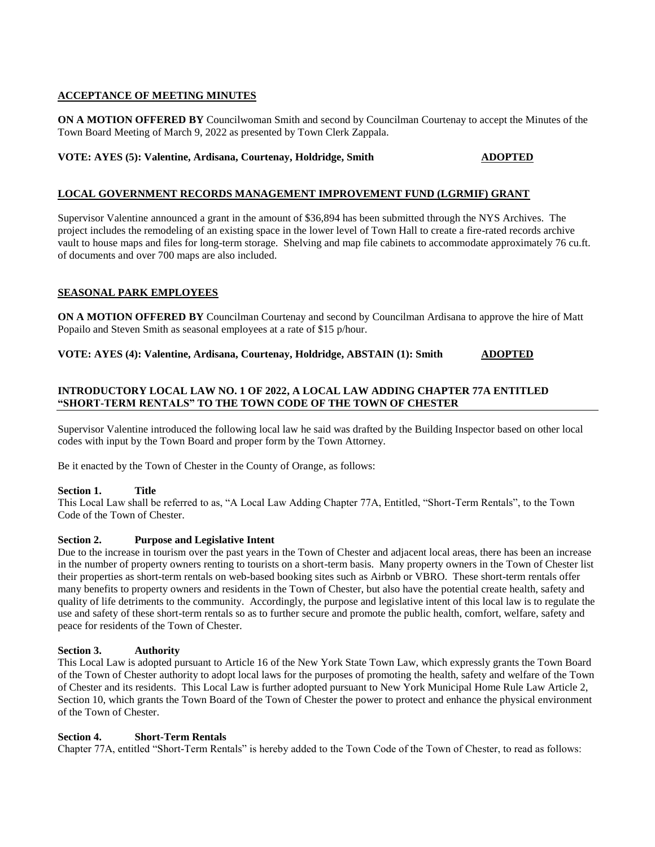# **ACCEPTANCE OF MEETING MINUTES**

**ON A MOTION OFFERED BY** Councilwoman Smith and second by Councilman Courtenay to accept the Minutes of the Town Board Meeting of March 9, 2022 as presented by Town Clerk Zappala.

# **VOTE: AYES (5): Valentine, Ardisana, Courtenay, Holdridge, Smith ADOPTED**

# **LOCAL GOVERNMENT RECORDS MANAGEMENT IMPROVEMENT FUND (LGRMIF) GRANT**

Supervisor Valentine announced a grant in the amount of \$36,894 has been submitted through the NYS Archives. The project includes the remodeling of an existing space in the lower level of Town Hall to create a fire-rated records archive vault to house maps and files for long-term storage. Shelving and map file cabinets to accommodate approximately 76 cu.ft. of documents and over 700 maps are also included.

# **SEASONAL PARK EMPLOYEES**

**ON A MOTION OFFERED BY** Councilman Courtenay and second by Councilman Ardisana to approve the hire of Matt Popailo and Steven Smith as seasonal employees at a rate of \$15 p/hour.

**VOTE: AYES (4): Valentine, Ardisana, Courtenay, Holdridge, ABSTAIN (1): Smith ADOPTED**

# **INTRODUCTORY LOCAL LAW NO. 1 OF 2022, A LOCAL LAW ADDING CHAPTER 77A ENTITLED "SHORT-TERM RENTALS" TO THE TOWN CODE OF THE TOWN OF CHESTER**

Supervisor Valentine introduced the following local law he said was drafted by the Building Inspector based on other local codes with input by the Town Board and proper form by the Town Attorney.

Be it enacted by the Town of Chester in the County of Orange, as follows:

# **Section 1. Title**

This Local Law shall be referred to as, "A Local Law Adding Chapter 77A, Entitled, "Short-Term Rentals", to the Town Code of the Town of Chester.

# **Section 2. Purpose and Legislative Intent**

Due to the increase in tourism over the past years in the Town of Chester and adjacent local areas, there has been an increase in the number of property owners renting to tourists on a short-term basis. Many property owners in the Town of Chester list their properties as short-term rentals on web-based booking sites such as Airbnb or VBRO. These short-term rentals offer many benefits to property owners and residents in the Town of Chester, but also have the potential create health, safety and quality of life detriments to the community. Accordingly, the purpose and legislative intent of this local law is to regulate the use and safety of these short-term rentals so as to further secure and promote the public health, comfort, welfare, safety and peace for residents of the Town of Chester.

#### **Section 3. Authority**

This Local Law is adopted pursuant to Article 16 of the New York State Town Law, which expressly grants the Town Board of the Town of Chester authority to adopt local laws for the purposes of promoting the health, safety and welfare of the Town of Chester and its residents. This Local Law is further adopted pursuant to New York Municipal Home Rule Law Article 2, Section 10, which grants the Town Board of the Town of Chester the power to protect and enhance the physical environment of the Town of Chester.

#### **Section 4. Short-Term Rentals**

Chapter 77A, entitled "Short-Term Rentals" is hereby added to the Town Code of the Town of Chester, to read as follows: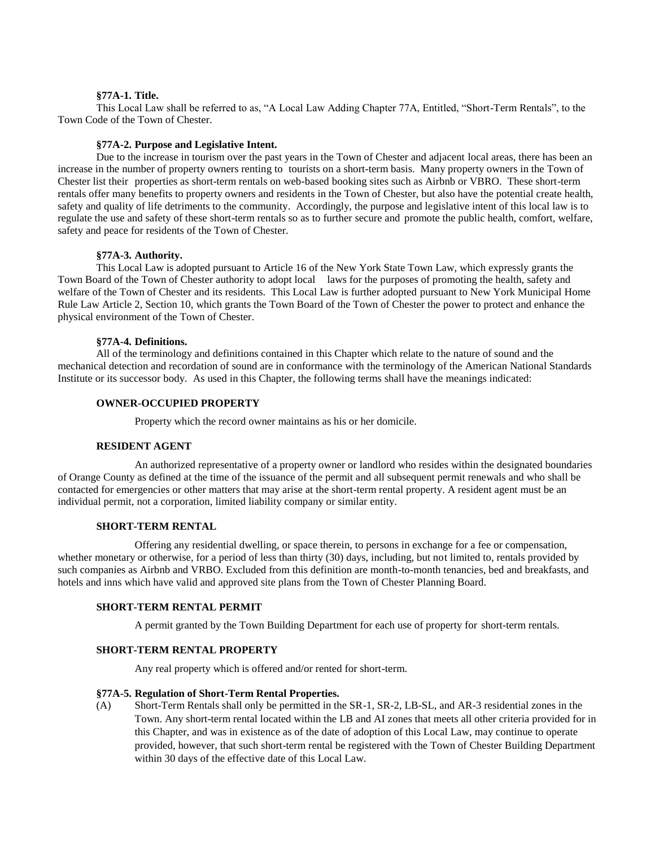#### **§77A-1. Title.**

This Local Law shall be referred to as, "A Local Law Adding Chapter 77A, Entitled, "Short-Term Rentals", to the Town Code of the Town of Chester.

## **§77A-2. Purpose and Legislative Intent.**

Due to the increase in tourism over the past years in the Town of Chester and adjacent local areas, there has been an increase in the number of property owners renting to tourists on a short-term basis. Many property owners in the Town of Chester list their properties as short-term rentals on web-based booking sites such as Airbnb or VBRO. These short-term rentals offer many benefits to property owners and residents in the Town of Chester, but also have the potential create health, safety and quality of life detriments to the community. Accordingly, the purpose and legislative intent of this local law is to regulate the use and safety of these short-term rentals so as to further secure and promote the public health, comfort, welfare, safety and peace for residents of the Town of Chester.

#### **§77A-3. Authority.**

This Local Law is adopted pursuant to Article 16 of the New York State Town Law, which expressly grants the Town Board of the Town of Chester authority to adopt local laws for the purposes of promoting the health, safety and welfare of the Town of Chester and its residents. This Local Law is further adopted pursuant to New York Municipal Home Rule Law Article 2, Section 10, which grants the Town Board of the Town of Chester the power to protect and enhance the physical environment of the Town of Chester.

#### **§77A-4. Definitions.**

All of the terminology and definitions contained in this Chapter which relate to the nature of sound and the mechanical detection and recordation of sound are in conformance with the terminology of the American National Standards Institute or its successor body. As used in this Chapter, the following terms shall have the meanings indicated:

#### **OWNER-OCCUPIED PROPERTY**

Property which the record owner maintains as his or her domicile.

#### **RESIDENT AGENT**

An authorized representative of a property owner or landlord who resides within the designated boundaries of Orange County as defined at the time of the issuance of the permit and all subsequent permit renewals and who shall be contacted for emergencies or other matters that may arise at the short-term rental property. A resident agent must be an individual permit, not a corporation, limited liability company or similar entity.

#### **SHORT-TERM RENTAL**

Offering any residential dwelling, or space therein, to persons in exchange for a fee or compensation, whether monetary or otherwise, for a period of less than thirty (30) days, including, but not limited to, rentals provided by such companies as Airbnb and VRBO. Excluded from this definition are month-to-month tenancies, bed and breakfasts, and hotels and inns which have valid and approved site plans from the Town of Chester Planning Board.

#### **SHORT-TERM RENTAL PERMIT**

A permit granted by the Town Building Department for each use of property for short-term rentals.

# **SHORT-TERM RENTAL PROPERTY**

Any real property which is offered and/or rented for short-term.

#### **§77A-5. Regulation of Short-Term Rental Properties.**

(A) Short-Term Rentals shall only be permitted in the SR-1, SR-2, LB-SL, and AR-3 residential zones in the Town. Any short-term rental located within the LB and AI zones that meets all other criteria provided for in this Chapter, and was in existence as of the date of adoption of this Local Law, may continue to operate provided, however, that such short-term rental be registered with the Town of Chester Building Department within 30 days of the effective date of this Local Law.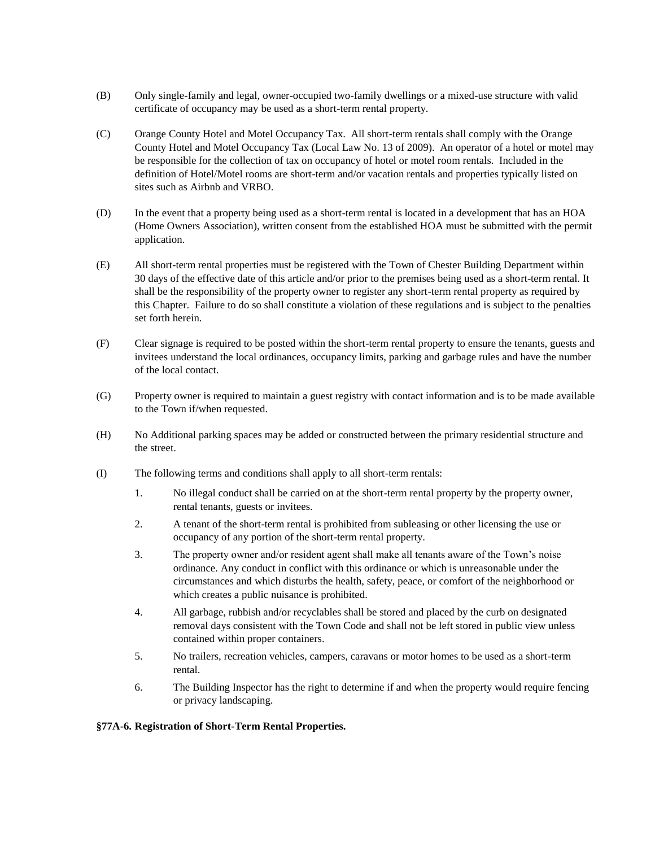- (B) Only single-family and legal, owner-occupied two-family dwellings or a mixed-use structure with valid certificate of occupancy may be used as a short-term rental property.
- (C) Orange County Hotel and Motel Occupancy Tax. All short-term rentals shall comply with the Orange County Hotel and Motel Occupancy Tax (Local Law No. 13 of 2009). An operator of a hotel or motel may be responsible for the collection of tax on occupancy of hotel or motel room rentals. Included in the definition of Hotel/Motel rooms are short-term and/or vacation rentals and properties typically listed on sites such as Airbnb and VRBO.
- (D) In the event that a property being used as a short-term rental is located in a development that has an HOA (Home Owners Association), written consent from the established HOA must be submitted with the permit application.
- (E) All short-term rental properties must be registered with the Town of Chester Building Department within 30 days of the effective date of this article and/or prior to the premises being used as a short-term rental. It shall be the responsibility of the property owner to register any short-term rental property as required by this Chapter. Failure to do so shall constitute a violation of these regulations and is subject to the penalties set forth herein.
- (F) Clear signage is required to be posted within the short-term rental property to ensure the tenants, guests and invitees understand the local ordinances, occupancy limits, parking and garbage rules and have the number of the local contact.
- (G) Property owner is required to maintain a guest registry with contact information and is to be made available to the Town if/when requested.
- (H) No Additional parking spaces may be added or constructed between the primary residential structure and the street.
- (I) The following terms and conditions shall apply to all short-term rentals:
	- 1. No illegal conduct shall be carried on at the short-term rental property by the property owner, rental tenants, guests or invitees.
	- 2. A tenant of the short-term rental is prohibited from subleasing or other licensing the use or occupancy of any portion of the short-term rental property.
	- 3. The property owner and/or resident agent shall make all tenants aware of the Town's noise ordinance. Any conduct in conflict with this ordinance or which is unreasonable under the circumstances and which disturbs the health, safety, peace, or comfort of the neighborhood or which creates a public nuisance is prohibited.
	- 4. All garbage, rubbish and/or recyclables shall be stored and placed by the curb on designated removal days consistent with the Town Code and shall not be left stored in public view unless contained within proper containers.
	- 5. No trailers, recreation vehicles, campers, caravans or motor homes to be used as a short-term rental.
	- 6. The Building Inspector has the right to determine if and when the property would require fencing or privacy landscaping.

# **§77A-6. Registration of Short-Term Rental Properties.**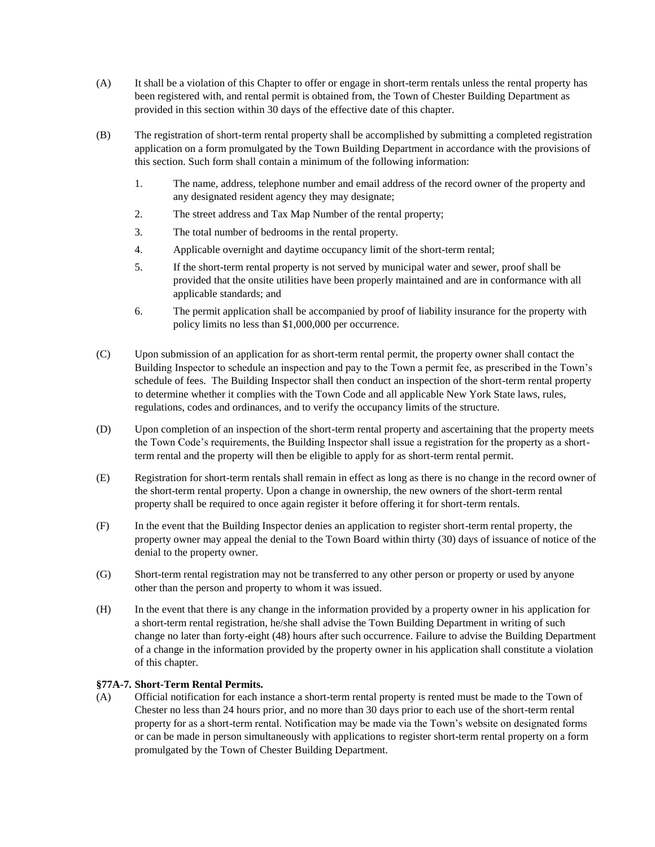- (A) It shall be a violation of this Chapter to offer or engage in short-term rentals unless the rental property has been registered with, and rental permit is obtained from, the Town of Chester Building Department as provided in this section within 30 days of the effective date of this chapter.
- (B) The registration of short-term rental property shall be accomplished by submitting a completed registration application on a form promulgated by the Town Building Department in accordance with the provisions of this section. Such form shall contain a minimum of the following information:
	- 1. The name, address, telephone number and email address of the record owner of the property and any designated resident agency they may designate;
	- 2. The street address and Tax Map Number of the rental property;
	- 3. The total number of bedrooms in the rental property.
	- 4. Applicable overnight and daytime occupancy limit of the short-term rental;
	- 5. If the short-term rental property is not served by municipal water and sewer, proof shall be provided that the onsite utilities have been properly maintained and are in conformance with all applicable standards; and
	- 6. The permit application shall be accompanied by proof of liability insurance for the property with policy limits no less than \$1,000,000 per occurrence.
- (C) Upon submission of an application for as short-term rental permit, the property owner shall contact the Building Inspector to schedule an inspection and pay to the Town a permit fee, as prescribed in the Town's schedule of fees. The Building Inspector shall then conduct an inspection of the short-term rental property to determine whether it complies with the Town Code and all applicable New York State laws, rules, regulations, codes and ordinances, and to verify the occupancy limits of the structure.
- (D) Upon completion of an inspection of the short-term rental property and ascertaining that the property meets the Town Code's requirements, the Building Inspector shall issue a registration for the property as a shortterm rental and the property will then be eligible to apply for as short-term rental permit.
- (E) Registration for short-term rentals shall remain in effect as long as there is no change in the record owner of the short-term rental property. Upon a change in ownership, the new owners of the short-term rental property shall be required to once again register it before offering it for short-term rentals.
- (F) In the event that the Building Inspector denies an application to register short-term rental property, the property owner may appeal the denial to the Town Board within thirty (30) days of issuance of notice of the denial to the property owner.
- (G) Short-term rental registration may not be transferred to any other person or property or used by anyone other than the person and property to whom it was issued.
- (H) In the event that there is any change in the information provided by a property owner in his application for a short-term rental registration, he/she shall advise the Town Building Department in writing of such change no later than forty-eight (48) hours after such occurrence. Failure to advise the Building Department of a change in the information provided by the property owner in his application shall constitute a violation of this chapter.

# **§77A-7. Short-Term Rental Permits.**

(A) Official notification for each instance a short-term rental property is rented must be made to the Town of Chester no less than 24 hours prior, and no more than 30 days prior to each use of the short-term rental property for as a short-term rental. Notification may be made via the Town's website on designated forms or can be made in person simultaneously with applications to register short-term rental property on a form promulgated by the Town of Chester Building Department.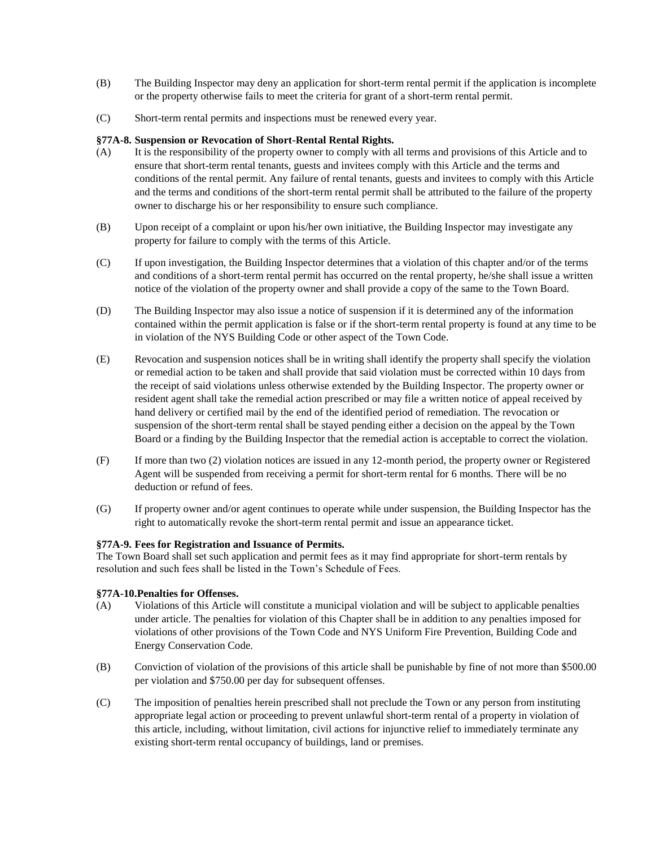- (B) The Building Inspector may deny an application for short-term rental permit if the application is incomplete or the property otherwise fails to meet the criteria for grant of a short-term rental permit.
- (C) Short-term rental permits and inspections must be renewed every year.

## **§77A-8. Suspension or Revocation of Short-Rental Rental Rights.**

- (A) It is the responsibility of the property owner to comply with all terms and provisions of this Article and to ensure that short-term rental tenants, guests and invitees comply with this Article and the terms and conditions of the rental permit. Any failure of rental tenants, guests and invitees to comply with this Article and the terms and conditions of the short-term rental permit shall be attributed to the failure of the property owner to discharge his or her responsibility to ensure such compliance.
- (B) Upon receipt of a complaint or upon his/her own initiative, the Building Inspector may investigate any property for failure to comply with the terms of this Article.
- (C) If upon investigation, the Building Inspector determines that a violation of this chapter and/or of the terms and conditions of a short-term rental permit has occurred on the rental property, he/she shall issue a written notice of the violation of the property owner and shall provide a copy of the same to the Town Board.
- (D) The Building Inspector may also issue a notice of suspension if it is determined any of the information contained within the permit application is false or if the short-term rental property is found at any time to be in violation of the NYS Building Code or other aspect of the Town Code.
- (E) Revocation and suspension notices shall be in writing shall identify the property shall specify the violation or remedial action to be taken and shall provide that said violation must be corrected within 10 days from the receipt of said violations unless otherwise extended by the Building Inspector. The property owner or resident agent shall take the remedial action prescribed or may file a written notice of appeal received by hand delivery or certified mail by the end of the identified period of remediation. The revocation or suspension of the short-term rental shall be stayed pending either a decision on the appeal by the Town Board or a finding by the Building Inspector that the remedial action is acceptable to correct the violation.
- (F) If more than two (2) violation notices are issued in any 12-month period, the property owner or Registered Agent will be suspended from receiving a permit for short-term rental for 6 months. There will be no deduction or refund of fees.
- (G) If property owner and/or agent continues to operate while under suspension, the Building Inspector has the right to automatically revoke the short-term rental permit and issue an appearance ticket.

# **§77A-9. Fees for Registration and Issuance of Permits.**

The Town Board shall set such application and permit fees as it may find appropriate for short-term rentals by resolution and such fees shall be listed in the Town's Schedule of Fees.

# **§77A-10.Penalties for Offenses.**

- (A) Violations of this Article will constitute a municipal violation and will be subject to applicable penalties under article. The penalties for violation of this Chapter shall be in addition to any penalties imposed for violations of other provisions of the Town Code and NYS Uniform Fire Prevention, Building Code and Energy Conservation Code.
- (B) Conviction of violation of the provisions of this article shall be punishable by fine of not more than \$500.00 per violation and \$750.00 per day for subsequent offenses.
- (C) The imposition of penalties herein prescribed shall not preclude the Town or any person from instituting appropriate legal action or proceeding to prevent unlawful short-term rental of a property in violation of this article, including, without limitation, civil actions for injunctive relief to immediately terminate any existing short-term rental occupancy of buildings, land or premises.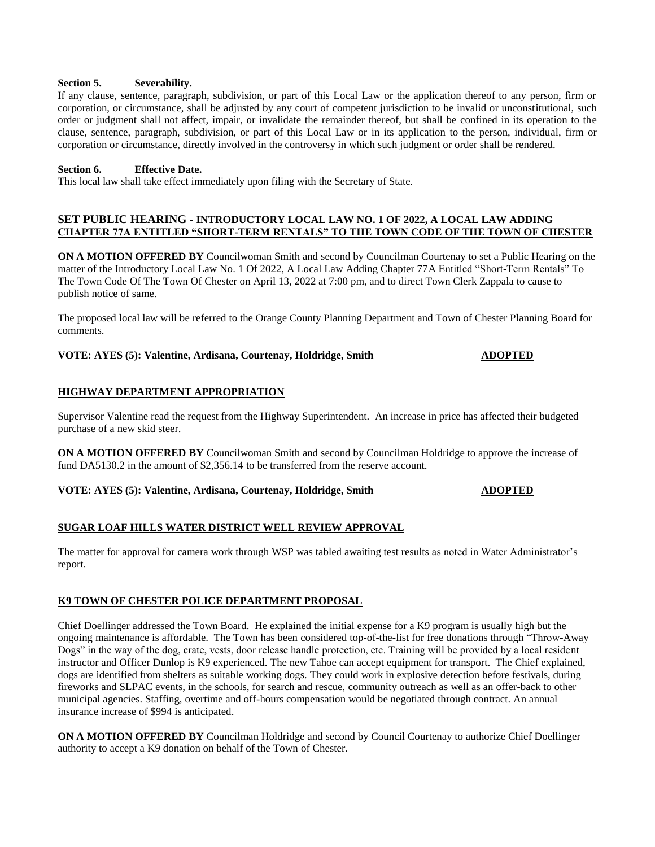#### **Section 5. Severability.**

If any clause, sentence, paragraph, subdivision, or part of this Local Law or the application thereof to any person, firm or corporation, or circumstance, shall be adjusted by any court of competent jurisdiction to be invalid or unconstitutional, such order or judgment shall not affect, impair, or invalidate the remainder thereof, but shall be confined in its operation to the clause, sentence, paragraph, subdivision, or part of this Local Law or in its application to the person, individual, firm or corporation or circumstance, directly involved in the controversy in which such judgment or order shall be rendered.

# **Section 6. Effective Date.**

This local law shall take effect immediately upon filing with the Secretary of State.

## **SET PUBLIC HEARING - INTRODUCTORY LOCAL LAW NO. 1 OF 2022, A LOCAL LAW ADDING CHAPTER 77A ENTITLED "SHORT-TERM RENTALS" TO THE TOWN CODE OF THE TOWN OF CHESTER**

**ON A MOTION OFFERED BY** Councilwoman Smith and second by Councilman Courtenay to set a Public Hearing on the matter of the Introductory Local Law No. 1 Of 2022, A Local Law Adding Chapter 77A Entitled "Short-Term Rentals" To The Town Code Of The Town Of Chester on April 13, 2022 at 7:00 pm, and to direct Town Clerk Zappala to cause to publish notice of same.

The proposed local law will be referred to the Orange County Planning Department and Town of Chester Planning Board for comments.

### **VOTE: AYES (5): Valentine, Ardisana, Courtenay, Holdridge, Smith ADOPTED**

# **HIGHWAY DEPARTMENT APPROPRIATION**

Supervisor Valentine read the request from the Highway Superintendent. An increase in price has affected their budgeted purchase of a new skid steer.

**ON A MOTION OFFERED BY** Councilwoman Smith and second by Councilman Holdridge to approve the increase of fund DA5130.2 in the amount of \$2,356.14 to be transferred from the reserve account.

**VOTE: AYES (5): Valentine, Ardisana, Courtenay, Holdridge, Smith ADOPTED**

# **SUGAR LOAF HILLS WATER DISTRICT WELL REVIEW APPROVAL**

The matter for approval for camera work through WSP was tabled awaiting test results as noted in Water Administrator's report.

# **K9 TOWN OF CHESTER POLICE DEPARTMENT PROPOSAL**

Chief Doellinger addressed the Town Board. He explained the initial expense for a K9 program is usually high but the ongoing maintenance is affordable. The Town has been considered top-of-the-list for free donations through "Throw-Away Dogs" in the way of the dog, crate, vests, door release handle protection, etc. Training will be provided by a local resident instructor and Officer Dunlop is K9 experienced. The new Tahoe can accept equipment for transport. The Chief explained, dogs are identified from shelters as suitable working dogs. They could work in explosive detection before festivals, during fireworks and SLPAC events, in the schools, for search and rescue, community outreach as well as an offer-back to other municipal agencies. Staffing, overtime and off-hours compensation would be negotiated through contract. An annual insurance increase of \$994 is anticipated.

**ON A MOTION OFFERED BY** Councilman Holdridge and second by Council Courtenay to authorize Chief Doellinger authority to accept a K9 donation on behalf of the Town of Chester.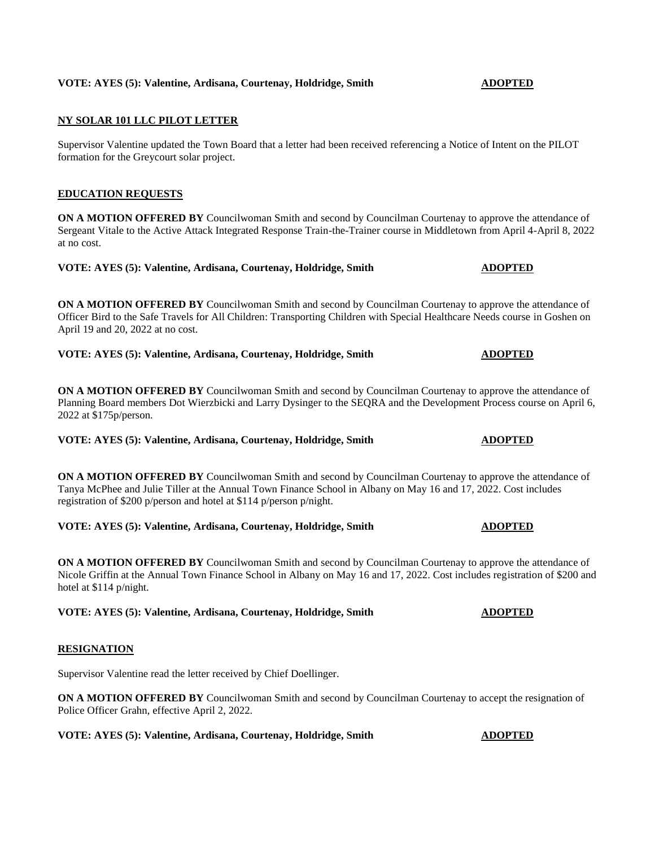# **VOTE: AYES (5): Valentine, Ardisana, Courtenay, Holdridge, Smith <b>ADOPTED**

# **NY SOLAR 101 LLC PILOT LETTER**

Supervisor Valentine updated the Town Board that a letter had been received referencing a Notice of Intent on the PILOT formation for the Greycourt solar project.

## **EDUCATION REQUESTS**

**ON A MOTION OFFERED BY** Councilwoman Smith and second by Councilman Courtenay to approve the attendance of Sergeant Vitale to the Active Attack Integrated Response Train-the-Trainer course in Middletown from April 4-April 8, 2022 at no cost.

**VOTE: AYES (5): Valentine, Ardisana, Courtenay, Holdridge, Smith ADOPTED**

**ON A MOTION OFFERED BY** Councilwoman Smith and second by Councilman Courtenay to approve the attendance of Officer Bird to the Safe Travels for All Children: Transporting Children with Special Healthcare Needs course in Goshen on April 19 and 20, 2022 at no cost.

**VOTE: AYES (5): Valentine, Ardisana, Courtenay, Holdridge, Smith ADOPTED**

**ON A MOTION OFFERED BY** Councilwoman Smith and second by Councilman Courtenay to approve the attendance of Planning Board members Dot Wierzbicki and Larry Dysinger to the SEQRA and the Development Process course on April 6, 2022 at \$175p/person.

**VOTE: AYES (5): Valentine, Ardisana, Courtenay, Holdridge, Smith ADOPTED**

**ON A MOTION OFFERED BY** Councilwoman Smith and second by Councilman Courtenay to approve the attendance of Tanya McPhee and Julie Tiller at the Annual Town Finance School in Albany on May 16 and 17, 2022. Cost includes registration of \$200 p/person and hotel at \$114 p/person p/night.

**VOTE: AYES (5): Valentine, Ardisana, Courtenay, Holdridge, Smith ADOPTED**

**ON A MOTION OFFERED BY** Councilwoman Smith and second by Councilman Courtenay to approve the attendance of Nicole Griffin at the Annual Town Finance School in Albany on May 16 and 17, 2022. Cost includes registration of \$200 and hotel at \$114 p/night.

**VOTE: AYES (5): Valentine, Ardisana, Courtenay, Holdridge, Smith ADOPTED** 

#### **RESIGNATION**

Supervisor Valentine read the letter received by Chief Doellinger.

**ON A MOTION OFFERED BY** Councilwoman Smith and second by Councilman Courtenay to accept the resignation of Police Officer Grahn, effective April 2, 2022.

**VOTE: AYES (5): Valentine, Ardisana, Courtenay, Holdridge, Smith <b>ADOPTED**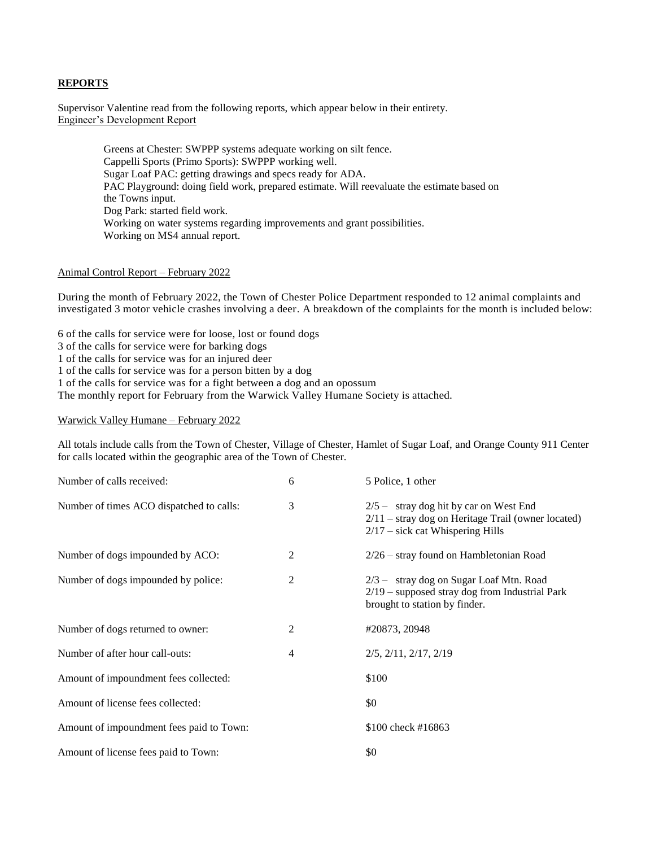### **REPORTS**

Supervisor Valentine read from the following reports, which appear below in their entirety. Engineer's Development Report

> Greens at Chester: SWPPP systems adequate working on silt fence. Cappelli Sports (Primo Sports): SWPPP working well. Sugar Loaf PAC: getting drawings and specs ready for ADA. PAC Playground: doing field work, prepared estimate. Will reevaluate the estimate based on the Towns input. Dog Park: started field work. Working on water systems regarding improvements and grant possibilities. Working on MS4 annual report.

#### Animal Control Report – February 2022

During the month of February 2022, the Town of Chester Police Department responded to 12 animal complaints and investigated 3 motor vehicle crashes involving a deer. A breakdown of the complaints for the month is included below:

6 of the calls for service were for loose, lost or found dogs

3 of the calls for service were for barking dogs

1 of the calls for service was for an injured deer

1 of the calls for service was for a person bitten by a dog

1 of the calls for service was for a fight between a dog and an opossum

The monthly report for February from the Warwick Valley Humane Society is attached.

Warwick Valley Humane – February 2022

All totals include calls from the Town of Chester, Village of Chester, Hamlet of Sugar Loaf, and Orange County 911 Center for calls located within the geographic area of the Town of Chester.

| Number of calls received:                | 6              | 5 Police, 1 other                                                                                                                      |
|------------------------------------------|----------------|----------------------------------------------------------------------------------------------------------------------------------------|
| Number of times ACO dispatched to calls: | 3              | $2/5$ - stray dog hit by car on West End<br>$2/11$ – stray dog on Heritage Trail (owner located)<br>$2/17$ – sick cat Whispering Hills |
| Number of dogs impounded by ACO:         | 2              | 2/26 - stray found on Hambletonian Road                                                                                                |
| Number of dogs impounded by police:      | 2              | $2/3$ - stray dog on Sugar Loaf Mtn. Road<br>$2/19$ – supposed stray dog from Industrial Park<br>brought to station by finder.         |
| Number of dogs returned to owner:        | 2              | #20873, 20948                                                                                                                          |
| Number of after hour call-outs:          | $\overline{4}$ | $2/5$ , $2/11$ , $2/17$ , $2/19$                                                                                                       |
| Amount of impoundment fees collected:    |                | \$100                                                                                                                                  |
| Amount of license fees collected:        |                | \$0                                                                                                                                    |
| Amount of impoundment fees paid to Town: |                | \$100 check #16863                                                                                                                     |
| Amount of license fees paid to Town:     |                | \$0                                                                                                                                    |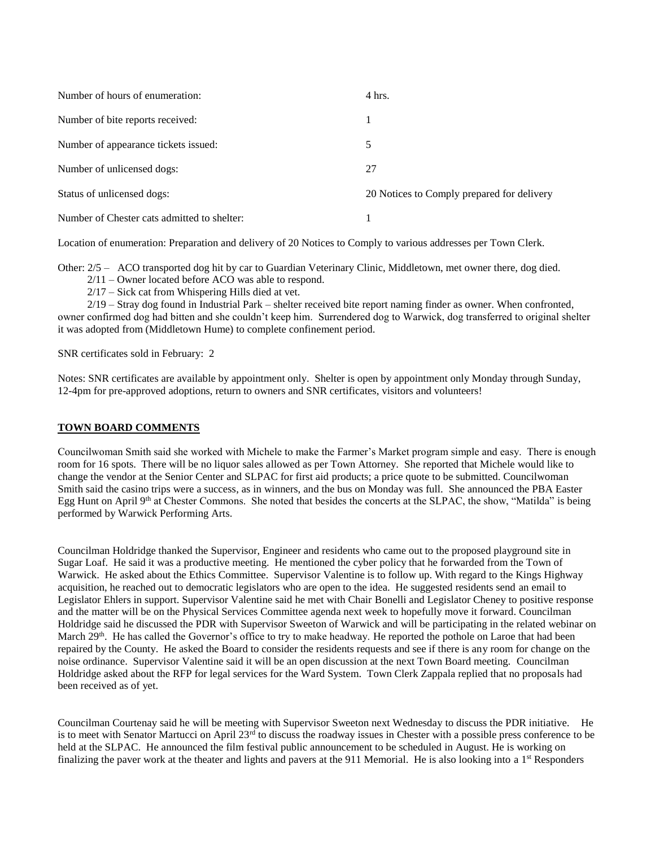| Number of hours of enumeration:             | 4 hrs.                                     |
|---------------------------------------------|--------------------------------------------|
| Number of bite reports received:            |                                            |
| Number of appearance tickets issued:        | 5                                          |
| Number of unlicensed dogs:                  | 27                                         |
| Status of unlicensed dogs:                  | 20 Notices to Comply prepared for delivery |
| Number of Chester cats admitted to shelter: |                                            |

Location of enumeration: Preparation and delivery of 20 Notices to Comply to various addresses per Town Clerk.

Other: 2/5 – ACO transported dog hit by car to Guardian Veterinary Clinic, Middletown, met owner there, dog died.

2/11 – Owner located before ACO was able to respond.

2/17 – Sick cat from Whispering Hills died at vet.

 2/19 – Stray dog found in Industrial Park – shelter received bite report naming finder as owner. When confronted, owner confirmed dog had bitten and she couldn't keep him. Surrendered dog to Warwick, dog transferred to original shelter it was adopted from (Middletown Hume) to complete confinement period.

SNR certificates sold in February: 2

Notes: SNR certificates are available by appointment only. Shelter is open by appointment only Monday through Sunday, 12-4pm for pre-approved adoptions, return to owners and SNR certificates, visitors and volunteers!

# **TOWN BOARD COMMENTS**

Councilwoman Smith said she worked with Michele to make the Farmer's Market program simple and easy. There is enough room for 16 spots. There will be no liquor sales allowed as per Town Attorney. She reported that Michele would like to change the vendor at the Senior Center and SLPAC for first aid products; a price quote to be submitted. Councilwoman Smith said the casino trips were a success, as in winners, and the bus on Monday was full. She announced the PBA Easter Egg Hunt on April 9<sup>th</sup> at Chester Commons. She noted that besides the concerts at the SLPAC, the show, "Matilda" is being performed by Warwick Performing Arts.

Councilman Holdridge thanked the Supervisor, Engineer and residents who came out to the proposed playground site in Sugar Loaf. He said it was a productive meeting. He mentioned the cyber policy that he forwarded from the Town of Warwick. He asked about the Ethics Committee. Supervisor Valentine is to follow up. With regard to the Kings Highway acquisition, he reached out to democratic legislators who are open to the idea. He suggested residents send an email to Legislator Ehlers in support. Supervisor Valentine said he met with Chair Bonelli and Legislator Cheney to positive response and the matter will be on the Physical Services Committee agenda next week to hopefully move it forward. Councilman Holdridge said he discussed the PDR with Supervisor Sweeton of Warwick and will be participating in the related webinar on March 29<sup>th</sup>. He has called the Governor's office to try to make headway. He reported the pothole on Laroe that had been repaired by the County. He asked the Board to consider the residents requests and see if there is any room for change on the noise ordinance. Supervisor Valentine said it will be an open discussion at the next Town Board meeting. Councilman Holdridge asked about the RFP for legal services for the Ward System. Town Clerk Zappala replied that no proposals had been received as of yet.

Councilman Courtenay said he will be meeting with Supervisor Sweeton next Wednesday to discuss the PDR initiative. He is to meet with Senator Martucci on April  $23^{rd}$  to discuss the roadway issues in Chester with a possible press conference to be held at the SLPAC. He announced the film festival public announcement to be scheduled in August. He is working on finalizing the paver work at the theater and lights and pavers at the 911 Memorial. He is also looking into a  $1<sup>st</sup>$  Responders